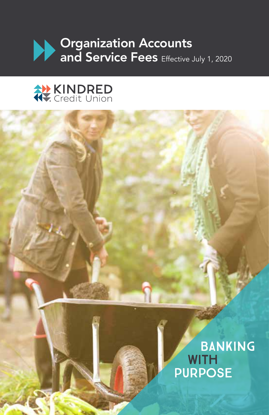



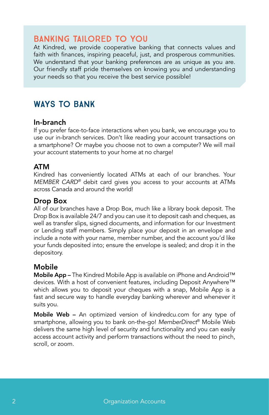# Banking tailored to you

At Kindred, we provide cooperative banking that connects values and faith with finances, inspiring peaceful, just, and prosperous communities. We understand that your banking preferences are as unique as you are. Our friendly staff pride themselves on knowing you and understanding your needs so that you receive the best service possible!

# Ways to bank

#### In-branch

If you prefer face-to-face interactions when you bank, we encourage you to use our in-branch services. Don't like reading your account transactions on a smartphone? Or maybe you choose not to own a computer? We will mail your account statements to your home at no charge!

#### ATM

Kindred has conveniently located ATMs at each of our branches. Your *MEMBER CARD®* debit card gives you access to your accounts at ATMs across Canada and around the world!

#### Drop Box

All of our branches have a Drop Box, much like a library book deposit. The Drop Box is available 24/7 and you can use it to deposit cash and cheques, as well as transfer slips, signed documents, and information for our Investment or Lending staff members. Simply place your deposit in an envelope and include a note with your name, member number, and the account you'd like your funds deposited into; ensure the envelope is sealed; and drop it in the depository.

### Mobile

Mobile App – The Kindred Mobile App is available on iPhone and Android™ devices. With a host of convenient features, including Deposit Anywhere™ which allows you to deposit your cheques with a snap, Mobile App is a fast and secure way to handle everyday banking wherever and whenever it suits you.

Mobile Web – An optimized version of kindredcu.com for any type of smartphone, allowing you to bank on-the-go! *MemberDirect*® Mobile Web delivers the same high level of security and functionality and you can easily access account activity and perform transactions without the need to pinch, scroll, or zoom.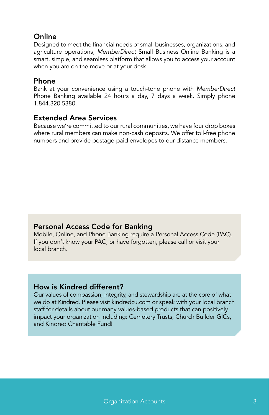### **Online**

Designed to meet the financial needs of small businesses, organizations, and agriculture operations, *MemberDirect* Small Business Online Banking is a smart, simple, and seamless platform that allows you to access your account when you are on the move or at your desk.

#### Phone

Bank at your convenience using a touch-tone phone with *MemberDirect* Phone Banking available 24 hours a day, 7 days a week. Simply phone 1.844.320.5380.

### Extended Area Services

Because we're committed to our rural communities, we have four drop boxes where rural members can make non-cash deposits. We offer toll-free phone numbers and provide postage-paid envelopes to our distance members.

### Personal Access Code for Banking

Mobile, Online, and Phone Banking require a Personal Access Code (PAC). If you don't know your PAC, or have forgotten, please call or visit your local branch.

#### How is Kindred different?

Our values of compassion, integrity, and stewardship are at the core of what we do at Kindred. Please visit kindredcu.com or speak with your local branch staff for details about our many values-based products that can positively impact your organization including: Cemetery Trusts; Church Builder GICs, and Kindred Charitable Fund!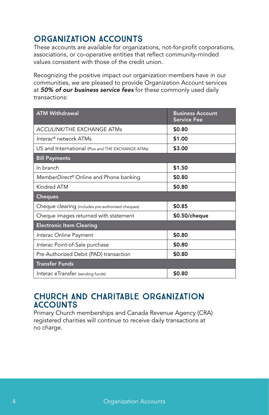# Organization accounts

These accounts are available for organizations, not-for-profit corporations, associations, or co-operative entities that reflect community-minded values consistent with those of the credit union.

Recognizing the positive impact our organization members have in our communities, we are pleased to provide Organization Account services at *50% of our business service fees* for these commonly used daily transactions:

| <b>ATM Withdrawal</b>                              | <b>Business Account</b><br><b>Service Fee</b> |
|----------------------------------------------------|-----------------------------------------------|
| <b>ACCULINK/THE EXCHANGE ATMs</b>                  | \$0.80                                        |
| Interac® network ATMs                              | \$1.00                                        |
| US and International (Plus and THE EXCHANGE ATMs)  | \$3.00                                        |
| <b>Bill Payments</b>                               |                                               |
| In branch                                          | \$1.50                                        |
| MemberDirect <sup>®</sup> Online and Phone banking | \$0.80                                        |
| Kindred ATM                                        | \$0.80                                        |
| <b>Cheques</b>                                     |                                               |
| Cheque clearing (includes pre-authorized cheques)  | \$0.85                                        |
| Cheque images returned with statement              | $$0.50/$ cheque                               |
| <b>Electronic Item Clearing</b>                    |                                               |
| Interac Online Payment                             | \$0.80                                        |
| Interac Point-of-Sale purchase                     | \$0.80                                        |
| Pre-Authorized Debit (PAD) transaction             | \$0.80                                        |
| <b>Transfer Funds</b>                              |                                               |
| Interac eTransfer (sending funds)                  | \$0.80                                        |

## Church and Charitable Organization **ACCOUNTS**

Primary Church memberships and Canada Revenue Agency (CRA) registered charities will continue to receive daily transactions at no charge.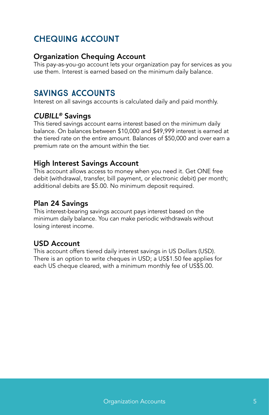# Chequing Account

#### Organization Chequing Account

This pay-as-you-go account lets your organization pay for services as you use them. Interest is earned based on the minimum daily balance.

## Savings Accounts

Interest on all savings accounts is calculated daily and paid monthly.

### *CUBILL®* Savings

This tiered savings account earns interest based on the minimum daily balance. On balances between \$10,000 and \$49,999 interest is earned at the tiered rate on the entire amount. Balances of \$50,000 and over earn a premium rate on the amount within the tier.

### High Interest Savings Account

This account allows access to money when you need it. Get ONE free debit (withdrawal, transfer, bill payment, or electronic debit) per month; additional debits are \$5.00. No minimum deposit required.

### Plan 24 Savings

This interest-bearing savings account pays interest based on the minimum daily balance. You can make periodic withdrawals without losing interest income.

### USD Account

This account offers tiered daily interest savings in US Dollars (USD). There is an option to write cheques in USD; a US\$1.50 fee applies for each US cheque cleared, with a minimum monthly fee of US\$5.00.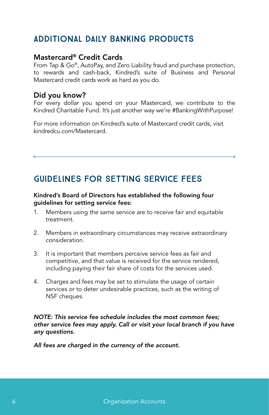# Additional daily banking products

#### Mastercard® Credit Cards

From Tap & Go®, AutoPay, and Zero Liability fraud and purchase protection, to rewards and cash-back, Kindred's suite of Business and Personal Mastercard credit cards work as hard as you do.

### Did you know?

For every dollar you spend on your Mastercard, we contribute to the Kindred Charitable Fund. It's just another way we're #BankingWithPurpose!

For more information on Kindred's suite of Mastercard credit cards, visit kindredcu.com/Mastercard.

# Guidelines for Setting Service Fees

#### Kindred's Board of Directors has established the following four guidelines for setting service fees:

- 1. Members using the same service are to receive fair and equitable treatment.
- 2. Members in extraordinary circumstances may receive extraordinary consideration.
- 3. It is important that members perceive service fees as fair and competitive, and that value is received for the service rendered, including paying their fair share of costs for the services used.
- 4. Charges and fees may be set to stimulate the usage of certain services or to deter undesirable practices, such as the writing of NSF cheques.

*NOTE: This service fee schedule includes the most common fees; other service fees may apply. Call or visit your local branch if you have any questions.* 

*All fees are charged in the currency of the account.*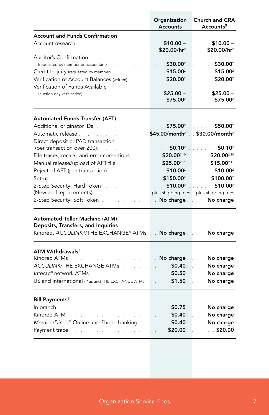|                                                                                | Organization<br><b>Accounts</b>        | <b>Church and CRA</b><br>Accounts <sup>5</sup>           |
|--------------------------------------------------------------------------------|----------------------------------------|----------------------------------------------------------|
| <b>Account and Funds Confirmation</b>                                          |                                        |                                                          |
| Account research.                                                              | $$10.00 -$<br>$$20.00/hr^2$            | $$10.00 -$<br>\$20.00/hr <sup>2</sup>                    |
| Auditor's Confirmation<br>(requested by member or accountant)                  | \$30.00 <sup>2</sup>                   | \$30.00                                                  |
| Credit Inquiry (requested by member).                                          | $$15.00^2$$                            | \$15.00 <sup>2</sup>                                     |
| Verification of Account Balances (written).<br>Verification of Funds Available | $$20.00^2$$                            | $$20.00^2$                                               |
| (auction day verification).                                                    | $$25.00 -$<br>\$75.00 <sup>2</sup>     | $$25.00 -$<br>\$75.00 <sup>2</sup>                       |
| <b>Automated Funds Transfer (AFT)</b>                                          |                                        |                                                          |
| Additional originator IDs                                                      | \$75.00 <sup>2</sup>                   | $$50.00^2$                                               |
| Automatic release .<br>Direct deposit or PAD transaction                       | $$45.00/m$ onth <sup>2</sup>           | $$30.00/m$ onth <sup>2</sup>                             |
| (per transaction over 200).                                                    | \$0.10 <sup>2</sup>                    | $$0.10^2$                                                |
| File traces, recalls, and error corrections                                    | \$20.002,10                            | $$20.00^{2,10}$                                          |
| Manual release/upload of AFT file                                              | $$25.00^{2,11}$                        | $$15.00^{2,11}$                                          |
| Rejected AFT (per transaction)                                                 | $$10.00^2$                             | $510.00^2$                                               |
| $Set-up$ .                                                                     | $5150.00^2$                            | \$100.00 <sup>2</sup><br>$\mathbb{Z}^2$ . $\mathbb{Z}^2$ |
| 2-Step Security: Hard Token                                                    | \$10.00 <sup>2</sup>                   | $$10.00^2$                                               |
| (New and replacements)                                                         | plus shipping fees                     | plus shipping fees                                       |
| 2-Step Security: Soft Token                                                    | No charge<br>$\mathbb{R}^{\mathbb{Z}}$ | No charge                                                |
| Automated Teller Machine (ATM)<br>Deposits, Transfers, and Inquiries           |                                        |                                                          |
| Kindred, ACCULINK®/THE EXCHANGE® ATMs                                          | No charge a                            | No charge                                                |
| $ATM$ Withdrawals $^1$                                                         |                                        |                                                          |
| Kindred ATMs.                                                                  | . No charge .                          | No charge                                                |
| ACCULINK/THE EXCHANGE ATMs                                                     | \$0.40<br>$\mathbb{R}^n$ . The set     | No charge                                                |
| Interac® network ATMs                                                          | \$0.50.                                | No charge                                                |
| US and international (Plus and THE EXCHANGE ATMs)                              | \$1.50                                 | No charge                                                |
| Bill Payments <sup>1</sup>                                                     |                                        |                                                          |
| In branch                                                                      | $$0.75$ .                              | No charge                                                |
| Kindred ATM                                                                    | \$0.40                                 | No charge                                                |
| MemberDirect® Online and Phone banking.                                        | \$0.40                                 | No charge                                                |
| Payment trace.                                                                 | \$20.00                                | \$20.00                                                  |

## **Organization Service Fees** 7 **7**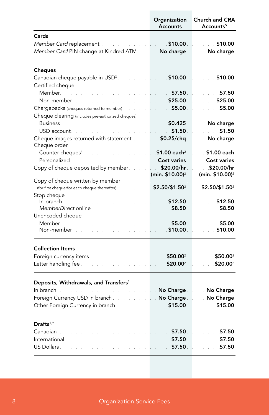|                                                                                                                                                                                                         | Organization<br><b>Accounts</b>  | <b>Church and CRA</b><br>Accounts <sup>5</sup> |
|---------------------------------------------------------------------------------------------------------------------------------------------------------------------------------------------------------|----------------------------------|------------------------------------------------|
| Cards                                                                                                                                                                                                   |                                  |                                                |
| Member Card replacement and a series of the state of \$10.00 and                                                                                                                                        |                                  | 510.00                                         |
| Member Card PIN change at Kindred ATM [11] No charge [11] No charge                                                                                                                                     |                                  |                                                |
| <b>Cheques</b>                                                                                                                                                                                          |                                  |                                                |
| Canadian cheque payable in $\text{USD}^3$ and $\text{S}$ and $\text{S}$ <b>10.00</b>                                                                                                                    |                                  | \$10.00                                        |
| Certified cheque                                                                                                                                                                                        |                                  |                                                |
| Member New                                                                                                                                                                                              | \$7.50                           | \$7.50                                         |
| Non-member                                                                                                                                                                                              | \$25.00                          | \$25.00                                        |
| Chargebacks (cheques returned to member)                                                                                                                                                                | $\frac{1}{2}$ \$5.00             | \$5.00                                         |
| Cheque clearing (includes pre-authorized cheques)                                                                                                                                                       |                                  |                                                |
| Business.<br>$\label{eq:2.1} \frac{1}{2} \int_{0}^{2\pi} \frac{1}{2} \left( \frac{1}{2} \int_{0}^{2\pi} \frac{1}{2} \left( \frac{1}{2} \int_{0}^{2\pi} \frac{1}{2} \right) \frac{1}{2} \right) \, d\mu$ | 50.425                           | No charge                                      |
| USD account<br>and the state of the state of the                                                                                                                                                        | $\sim$ 51.50 $\sim$ 51.50 $\sim$ | \$1.50                                         |
| Cheque images returned with statement and a                                                                                                                                                             | \$0.25/chq                       | No charge                                      |
| Cheque order                                                                                                                                                                                            |                                  |                                                |
| n<br>San Antar San Antar San A<br>Counter cheques <sup>4</sup>                                                                                                                                          | $$1.00$ each <sup>2</sup>        | ∴ \$1.00 each                                  |
| Personalized.                                                                                                                                                                                           | <b>Cost varies</b>               | <b>Cost varies</b>                             |
| Copy of cheque deposited by member.                                                                                                                                                                     | \$20.00/hr                       | \$20.00/hr                                     |
|                                                                                                                                                                                                         | (min. \$10.00) <sup>2</sup>      | (min. \$10.00) <sup>2</sup>                    |
| Copy of cheque written by member<br>(for first cheque/for each cheque thereafter)                                                                                                                       | $$2.50/\$1.50^2$                 | \$2.50/\$1.50 <sup>2</sup>                     |
| Stop cheque                                                                                                                                                                                             |                                  |                                                |
| $In-branch$                                                                                                                                                                                             | \$12.50                          | \$12.50<br>$\frac{1}{2}$                       |
| MemberDirect online                                                                                                                                                                                     | \$8.50                           | \$8.50                                         |
| Unencoded cheque                                                                                                                                                                                        |                                  |                                                |
| Member                                                                                                                                                                                                  | 55.00                            | \$5.00                                         |
| Non-member                                                                                                                                                                                              | \$10.00                          | \$10.00                                        |
| <b>Collection Items</b>                                                                                                                                                                                 |                                  |                                                |
| Foreign currency items and a series and a series of                                                                                                                                                     | $$50.00^2$ .                     | \$50.00 <sup>2</sup>                           |
| an an India<br>Letter handling fee                                                                                                                                                                      | \$20.00 <sup>2</sup>             | $$20.00^2$                                     |
|                                                                                                                                                                                                         |                                  |                                                |
| Deposits, Withdrawals, and Transfers <sup>1</sup>                                                                                                                                                       |                                  |                                                |
| In branch<br>and a state<br><b>Experience of the Charge Constitution Charge</b>                                                                                                                         |                                  |                                                |
| Foreign Currency USD in branch <b>Exercise 2008</b> No Charge <b>No Charge No Charge</b>                                                                                                                |                                  |                                                |
| Other Foreign Currency in branch.<br>a sa salawa                                                                                                                                                        | 515.00                           | \$15.00                                        |
| Drafts <sup>1,9</sup>                                                                                                                                                                                   |                                  |                                                |
| Canadian                                                                                                                                                                                                | \$7.50                           | \$7.50                                         |
| International                                                                                                                                                                                           | \$7.50                           | \$7.50                                         |
| US Dollars.                                                                                                                                                                                             | \$7.50.                          | \$7.50                                         |
|                                                                                                                                                                                                         |                                  |                                                |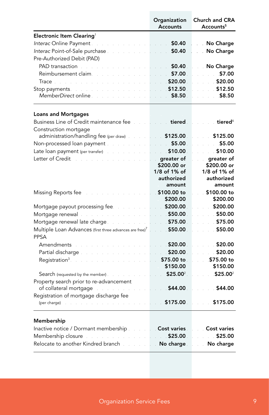|                                                                                                                                                                                                                                | Organization<br><b>Accounts</b>                                     | <b>Church and CRA</b><br>Accounts <sup>5</sup> |
|--------------------------------------------------------------------------------------------------------------------------------------------------------------------------------------------------------------------------------|---------------------------------------------------------------------|------------------------------------------------|
| Electronic Item Clearing <sup>1</sup>                                                                                                                                                                                          |                                                                     |                                                |
| Interac Online Payment Alberta Alberta and Alberta Alberta Alberta Alberta Alberta Alberta Alberta Alberta Alb                                                                                                                 | \$0.40                                                              | . No Charge                                    |
| Interac Point-of-Sale purchase and a summary state                                                                                                                                                                             | \$0.40                                                              | . No Charge                                    |
| Pre-Authorized Debit (PAD)                                                                                                                                                                                                     |                                                                     |                                                |
| PAD transaction.                                                                                                                                                                                                               | \$0.40                                                              | No Charge                                      |
| Reimbursement claim.                                                                                                                                                                                                           | \$7.00                                                              | \$7.00<br>and a                                |
| Trace and a series of                                                                                                                                                                                                          | \$20.00                                                             | \$20.00                                        |
| Stop payments.                                                                                                                                                                                                                 | \$12.50                                                             | \$12.50                                        |
| MemberDirect online.                                                                                                                                                                                                           | \$8.50<br>$\mathcal{L}^{\text{max}}$ and $\mathcal{L}^{\text{max}}$ | \$8.50                                         |
| <b>Loans and Mortgages</b>                                                                                                                                                                                                     |                                                                     |                                                |
| Business Line of Credit maintenance fee                                                                                                                                                                                        | $\overline{\phantom{a}}$ tiered $\overline{\phantom{a}}$            | tiered $^6$                                    |
| Construction mortgage                                                                                                                                                                                                          |                                                                     |                                                |
| administration/handling fee (per draw)                                                                                                                                                                                         | \$125.00                                                            | \$125.00                                       |
| Non-processed loan payment<br>$\mathcal{L}^{\mathcal{L}}$ and $\mathcal{L}^{\mathcal{L}}$<br><b>Contractor</b>                                                                                                                 | \$5.00<br><b>Contract</b>                                           | \$5.00                                         |
| Late loan payment (per transfer)                                                                                                                                                                                               | $\sim 10.00$ .                                                      | \$10.00                                        |
| Letter of Credit.                                                                                                                                                                                                              | greater of                                                          | greater of                                     |
|                                                                                                                                                                                                                                | \$200.00 or                                                         | \$200.00 or                                    |
|                                                                                                                                                                                                                                | 1/8 of 1% of                                                        | 1/8 of 1% of                                   |
|                                                                                                                                                                                                                                | authorized                                                          | authorized                                     |
|                                                                                                                                                                                                                                | amount                                                              | amount                                         |
| Missing Reports fee                                                                                                                                                                                                            | . \$100.00 to                                                       | \$100.00 to                                    |
|                                                                                                                                                                                                                                | \$200.00                                                            | \$200.00                                       |
| Mortgage payout processing fee.                                                                                                                                                                                                | \$200.00                                                            | \$200.00                                       |
| Mortgage renewal and a serious contract of                                                                                                                                                                                     | \$50.00                                                             | \$50.00                                        |
| Mortgage renewal late charge<br>$\sim$                                                                                                                                                                                         | \$75.00                                                             | \$75.00                                        |
| Multiple Loan Advances (first three advances are free) <sup>7</sup><br>PPSA                                                                                                                                                    | \$50.00                                                             | \$50.00                                        |
| Amendments                                                                                                                                                                                                                     | <b>\$20.00</b>                                                      | \$20.00                                        |
| Partial discharge.                                                                                                                                                                                                             | \$20.00                                                             | \$20.00                                        |
| Registration <sup>3</sup> .                                                                                                                                                                                                    | \$75.00 to                                                          | \$75.00 to                                     |
|                                                                                                                                                                                                                                | \$150.00                                                            | \$150.00                                       |
| <b>Search</b> (requested by the member)                                                                                                                                                                                        | \$25.00 <sup>2</sup><br>$\mathcal{L}^{\text{max}}$                  | \$25.00 <sup>2</sup>                           |
| Property search prior to re-advancement<br>of collateral mortgage<br>and a state                                                                                                                                               | \$44.00                                                             | \$44.00                                        |
| Registration of mortgage discharge fee                                                                                                                                                                                         |                                                                     |                                                |
| (per charge) and a substantial contract of the contract of the contract of the contract of the contract of the contract of the contract of the contract of the contract of the contract of the contract of the contract of the | \$175.00                                                            | \$175.00                                       |
| Membership                                                                                                                                                                                                                     |                                                                     |                                                |
| Inactive notice / Dormant membership and all                                                                                                                                                                                   | <b>Cost varies</b>                                                  | <b>Cost varies</b>                             |
| Membership closure <b>Membership</b>                                                                                                                                                                                           | \$25.00                                                             | \$25.00                                        |
| Relocate to another Kindred branch                                                                                                                                                                                             | . No charge .                                                       | No charge<br>$\mathcal{L}^{\mathcal{L}}$       |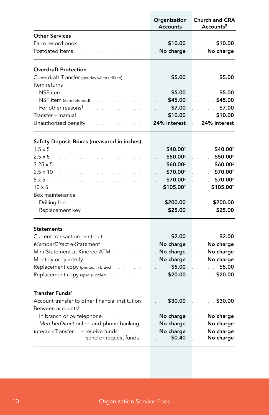|                                                                                                                                                                                                                                | Organization<br><b>Accounts</b>        | <b>Church and CRA</b><br>Accounts <sup>5</sup>                                     |
|--------------------------------------------------------------------------------------------------------------------------------------------------------------------------------------------------------------------------------|----------------------------------------|------------------------------------------------------------------------------------|
| <b>Other Services</b>                                                                                                                                                                                                          |                                        |                                                                                    |
| Farm record book.<br>$\sim 10^{-1}$ .<br>$\sim$                                                                                                                                                                                | $510.00$ .                             | \$10.00                                                                            |
| Postdated Items.<br>a sa salawa                                                                                                                                                                                                | <b>No charge</b>                       | No charge                                                                          |
| <b>Overdraft Protection</b>                                                                                                                                                                                                    |                                        |                                                                                    |
| Coverdraft Transfer (per day when utilized). The state of the state $$5.00$                                                                                                                                                    |                                        | \$5.00                                                                             |
| Item returns                                                                                                                                                                                                                   |                                        |                                                                                    |
| NSF item                                                                                                                                                                                                                       | \$5.00                                 | \$5.00                                                                             |
| NSF item (item returned).                                                                                                                                                                                                      | \$45.00                                | \$45.00                                                                            |
| For other reasons <sup>3</sup>                                                                                                                                                                                                 | $\sim$ $\sim$ 57.00                    | \$7.00                                                                             |
| Transfer – manual                                                                                                                                                                                                              | \$10.00                                | \$10.00                                                                            |
| Unauthorized penalty<br>and a string                                                                                                                                                                                           | 24% interest                           | 24% interest                                                                       |
| Safety Deposit Boxes (measured in inches)                                                                                                                                                                                      |                                        |                                                                                    |
| $1.5 \times 5$<br>and the state of the state of the state of the state of the state of the state of the state of the state of the<br>$\sim 100$                                                                                | $$40.00^2$<br>.                        | $$40.00^2$                                                                         |
| $2.5 \times 5$                                                                                                                                                                                                                 | \$50.00 <sup>2</sup><br>i.             | \$50.00                                                                            |
| $3.25 \times 5$ .                                                                                                                                                                                                              | \$60.002                               | \$60.002                                                                           |
| $2.5 \times 10$ .                                                                                                                                                                                                              | \$70.00 <sup>2</sup>                   | \$70.002                                                                           |
| $5 \times 5$                                                                                                                                                                                                                   | \$70.00 <sup>2</sup><br><b>College</b> | \$70.002                                                                           |
| $10 \times 5$                                                                                                                                                                                                                  | $$105.00^2$                            | $$105.00^2$                                                                        |
| Box maintenance                                                                                                                                                                                                                |                                        |                                                                                    |
| Drilling fee                                                                                                                                                                                                                   | \$200.00                               | \$200.00                                                                           |
| Replacement key.<br>and the second control of                                                                                                                                                                                  | \$25.00                                | \$25.00                                                                            |
| <b>Statements</b>                                                                                                                                                                                                              |                                        |                                                                                    |
| Current transaction print-out the state of                                                                                                                                                                                     | $\sim$ $\sim$ \$2.00                   | $\sim$ \$2.00                                                                      |
| MemberDirect e-Statement                                                                                                                                                                                                       | . No charge                            | <b>No charge</b>                                                                   |
| Mini-Statement at Kindred ATM.                                                                                                                                                                                                 | No charge                              | <b>No charge</b>                                                                   |
| Monthly or quarterly and the service of the Monthly                                                                                                                                                                            | No charge                              | No charge<br>$\mathbb{R}^{n}$ .                                                    |
| Replacement copy (printed in branch) and a set of                                                                                                                                                                              | 5.00                                   | \$5.00                                                                             |
| Replacement copy (special order) and a settled and a settled and a settled and a settled and a settled and a settled and a settled and a settled and a settled and a settled and a settled and a settled and a settled and a s | \$20.00                                | \$20.00                                                                            |
| Transfer Funds <sup>1</sup>                                                                                                                                                                                                    |                                        |                                                                                    |
| Account transfer to other financial institution                                                                                                                                                                                | \$30.00                                | \$30.00                                                                            |
| Between accounts <sup>8</sup>                                                                                                                                                                                                  |                                        |                                                                                    |
| In branch or by telephone and a serious contact the branch or by telephone and a serious contact the                                                                                                                           | No charge No.                          | Mo charge<br>$\mathcal{L}$                                                         |
| MemberDirect online and phone banking .                                                                                                                                                                                        | . No charge .                          | No charge                                                                          |
| Interac eTransfer<br>$-$ receive funds.<br>- send or request funds.                                                                                                                                                            | No charge<br>$\sim 50.40$              | No charge<br>$\mathcal{L}^{\text{max}}$<br>No charge<br>$\mathcal{L}^{\text{max}}$ |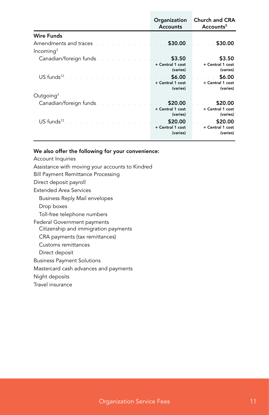|                                                                                                                                                                                                                                | Organization<br><b>Accounts</b> | Church and CRA<br>Accounts <sup>5</sup> |
|--------------------------------------------------------------------------------------------------------------------------------------------------------------------------------------------------------------------------------|---------------------------------|-----------------------------------------|
| <b>Wire Funds</b>                                                                                                                                                                                                              |                                 |                                         |
| Amendments and traces<br>a sa sa sa sa sa sa sa sa sa tara                                                                                                                                                                     | \$30.00                         | \$30.00                                 |
| Incomina <sup>3</sup>                                                                                                                                                                                                          |                                 |                                         |
| Canadian/foreign funds. The contract of the contract of the contract of the contract of the contract of the contract of the contract of the contract of the contract of the contract of the contract of the contract of the co | \$3.50                          | \$3.50                                  |
|                                                                                                                                                                                                                                | + Central 1 cost                | + Central 1 cost                        |
|                                                                                                                                                                                                                                | (varies)                        | (varies)                                |
| $\mathsf{US}$ funds <sup>12</sup>                                                                                                                                                                                              | \$6.00                          | \$6.00<br>$\sim$ 100 $\pm$              |
|                                                                                                                                                                                                                                | + Central 1 cost                | + Central 1 cost                        |
|                                                                                                                                                                                                                                | (varies)                        | (varies)                                |
| Outgoing $3$                                                                                                                                                                                                                   |                                 |                                         |
| Canadian/foreign funds. The contract of the contract of                                                                                                                                                                        | . \$20.00                       | \$20.00                                 |
|                                                                                                                                                                                                                                | + Central 1 cost                | + Central 1 cost                        |
|                                                                                                                                                                                                                                | (varies)                        | (varies)                                |
| $\mathsf{US}\ \mathsf{funds}^{12}$                                                                                                                                                                                             | \$20.00                         | \$20.00                                 |
|                                                                                                                                                                                                                                | + Central 1 cost                | + Central 1 cost                        |
|                                                                                                                                                                                                                                | (varies)                        | (varies)                                |
|                                                                                                                                                                                                                                |                                 |                                         |

#### We also offer the following for your convenience:

- Account Inquiries
- Assistance with moving your accounts to Kindred
- Bill Payment Remittance Processing
- Direct deposit payroll
- Extended Area Services
	- Business Reply Mail envelopes
	- Drop boxes

Toll-free telephone numbers

Federal Government payments Citizenship and immigration payments

CRA payments (tax remittances)

Customs remittances

Direct deposit

Business Payment Solutions

Mastercard cash advances and payments

Night deposits

Travel insurance